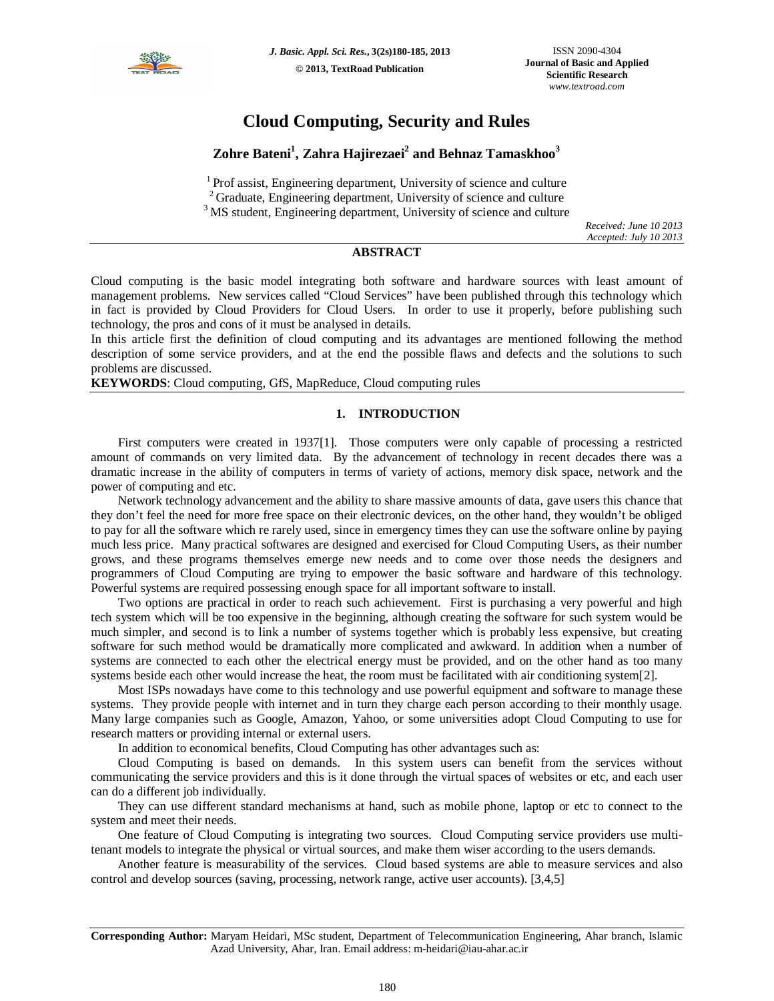

# **Cloud Computing, Security and Rules**

## **Zohre Bateni<sup>1</sup> , Zahra Hajirezaei<sup>2</sup> and Behnaz Tamaskhoo<sup>3</sup>**

<sup>1</sup> Prof assist, Engineering department, University of science and culture <sup>2</sup> Graduate, Engineering department, University of science and culture

<sup>3</sup> MS student, Engineering department, University of science and culture

*Received: June 10 2013 Accepted: July 10 2013*

## **ABSTRACT**

Cloud computing is the basic model integrating both software and hardware sources with least amount of management problems. New services called "Cloud Services" have been published through this technology which in fact is provided by Cloud Providers for Cloud Users. In order to use it properly, before publishing such technology, the pros and cons of it must be analysed in details.

In this article first the definition of cloud computing and its advantages are mentioned following the method description of some service providers, and at the end the possible flaws and defects and the solutions to such problems are discussed.

**KEYWORDS**: Cloud computing, GfS, MapReduce, Cloud computing rules

## **1. INTRODUCTION**

First computers were created in 1937[1]. Those computers were only capable of processing a restricted amount of commands on very limited data. By the advancement of technology in recent decades there was a dramatic increase in the ability of computers in terms of variety of actions, memory disk space, network and the power of computing and etc.

Network technology advancement and the ability to share massive amounts of data, gave users this chance that they don't feel the need for more free space on their electronic devices, on the other hand, they wouldn't be obliged to pay for all the software which re rarely used, since in emergency times they can use the software online by paying much less price. Many practical softwares are designed and exercised for Cloud Computing Users, as their number grows, and these programs themselves emerge new needs and to come over those needs the designers and programmers of Cloud Computing are trying to empower the basic software and hardware of this technology. Powerful systems are required possessing enough space for all important software to install.

Two options are practical in order to reach such achievement. First is purchasing a very powerful and high tech system which will be too expensive in the beginning, although creating the software for such system would be much simpler, and second is to link a number of systems together which is probably less expensive, but creating software for such method would be dramatically more complicated and awkward. In addition when a number of systems are connected to each other the electrical energy must be provided, and on the other hand as too many systems beside each other would increase the heat, the room must be facilitated with air conditioning system[2].

Most ISPs nowadays have come to this technology and use powerful equipment and software to manage these systems. They provide people with internet and in turn they charge each person according to their monthly usage. Many large companies such as Google, Amazon, Yahoo, or some universities adopt Cloud Computing to use for research matters or providing internal or external users.

In addition to economical benefits, Cloud Computing has other advantages such as:

Cloud Computing is based on demands. In this system users can benefit from the services without communicating the service providers and this is it done through the virtual spaces of websites or etc, and each user can do a different job individually.

They can use different standard mechanisms at hand, such as mobile phone, laptop or etc to connect to the system and meet their needs.

One feature of Cloud Computing is integrating two sources. Cloud Computing service providers use multitenant models to integrate the physical or virtual sources, and make them wiser according to the users demands.

Another feature is measurability of the services. Cloud based systems are able to measure services and also control and develop sources (saving, processing, network range, active user accounts). [3,4,5]

**Corresponding Author:** Maryam Heidari, MSc student, Department of Telecommunication Engineering, Ahar branch, Islamic Azad University, Ahar, Iran. Email address: m-heidari@iau-ahar.ac.ir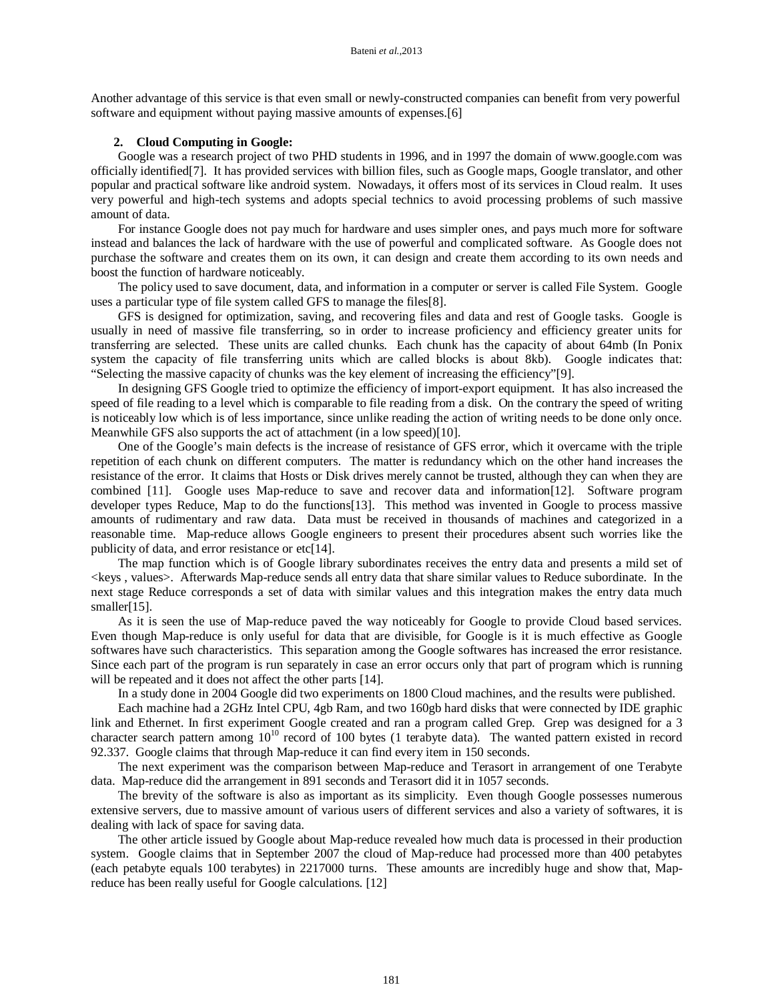Another advantage of this service is that even small or newly-constructed companies can benefit from very powerful software and equipment without paying massive amounts of expenses.[6]

#### **2. Cloud Computing in Google:**

Google was a research project of two PHD students in 1996, and in 1997 the domain of www.google.com was officially identified[7]. It has provided services with billion files, such as Google maps, Google translator, and other popular and practical software like android system. Nowadays, it offers most of its services in Cloud realm. It uses very powerful and high-tech systems and adopts special technics to avoid processing problems of such massive amount of data.

For instance Google does not pay much for hardware and uses simpler ones, and pays much more for software instead and balances the lack of hardware with the use of powerful and complicated software. As Google does not purchase the software and creates them on its own, it can design and create them according to its own needs and boost the function of hardware noticeably.

The policy used to save document, data, and information in a computer or server is called File System. Google uses a particular type of file system called GFS to manage the files[8].

GFS is designed for optimization, saving, and recovering files and data and rest of Google tasks. Google is usually in need of massive file transferring, so in order to increase proficiency and efficiency greater units for transferring are selected. These units are called chunks. Each chunk has the capacity of about 64mb (In Ponix system the capacity of file transferring units which are called blocks is about 8kb). Google indicates that: "Selecting the massive capacity of chunks was the key element of increasing the efficiency"[9].

In designing GFS Google tried to optimize the efficiency of import-export equipment. It has also increased the speed of file reading to a level which is comparable to file reading from a disk. On the contrary the speed of writing is noticeably low which is of less importance, since unlike reading the action of writing needs to be done only once. Meanwhile GFS also supports the act of attachment (in a low speed)[10].

One of the Google's main defects is the increase of resistance of GFS error, which it overcame with the triple repetition of each chunk on different computers. The matter is redundancy which on the other hand increases the resistance of the error. It claims that Hosts or Disk drives merely cannot be trusted, although they can when they are combined [11]. Google uses Map-reduce to save and recover data and information[12]. Software program developer types Reduce, Map to do the functions[13]. This method was invented in Google to process massive amounts of rudimentary and raw data. Data must be received in thousands of machines and categorized in a reasonable time. Map-reduce allows Google engineers to present their procedures absent such worries like the publicity of data, and error resistance or etc[14].

The map function which is of Google library subordinates receives the entry data and presents a mild set of <keys, values>. Afterwards Map-reduce sends all entry data that share similar values to Reduce subordinate. In the next stage Reduce corresponds a set of data with similar values and this integration makes the entry data much smaller[15].

As it is seen the use of Map-reduce paved the way noticeably for Google to provide Cloud based services. Even though Map-reduce is only useful for data that are divisible, for Google is it is much effective as Google softwares have such characteristics. This separation among the Google softwares has increased the error resistance. Since each part of the program is run separately in case an error occurs only that part of program which is running will be repeated and it does not affect the other parts [14].

In a study done in 2004 Google did two experiments on 1800 Cloud machines, and the results were published.

Each machine had a 2GHz Intel CPU, 4gb Ram, and two 160gb hard disks that were connected by IDE graphic link and Ethernet. In first experiment Google created and ran a program called Grep. Grep was designed for a 3 character search pattern among  $10^{10}$  record of 100 bytes (1 terabyte data). The wanted pattern existed in record 92.337. Google claims that through Map-reduce it can find every item in 150 seconds.

The next experiment was the comparison between Map-reduce and Terasort in arrangement of one Terabyte data. Map-reduce did the arrangement in 891 seconds and Terasort did it in 1057 seconds.

The brevity of the software is also as important as its simplicity. Even though Google possesses numerous extensive servers, due to massive amount of various users of different services and also a variety of softwares, it is dealing with lack of space for saving data.

The other article issued by Google about Map-reduce revealed how much data is processed in their production system. Google claims that in September 2007 the cloud of Map-reduce had processed more than 400 petabytes (each petabyte equals 100 terabytes) in 2217000 turns. These amounts are incredibly huge and show that, Mapreduce has been really useful for Google calculations. [12]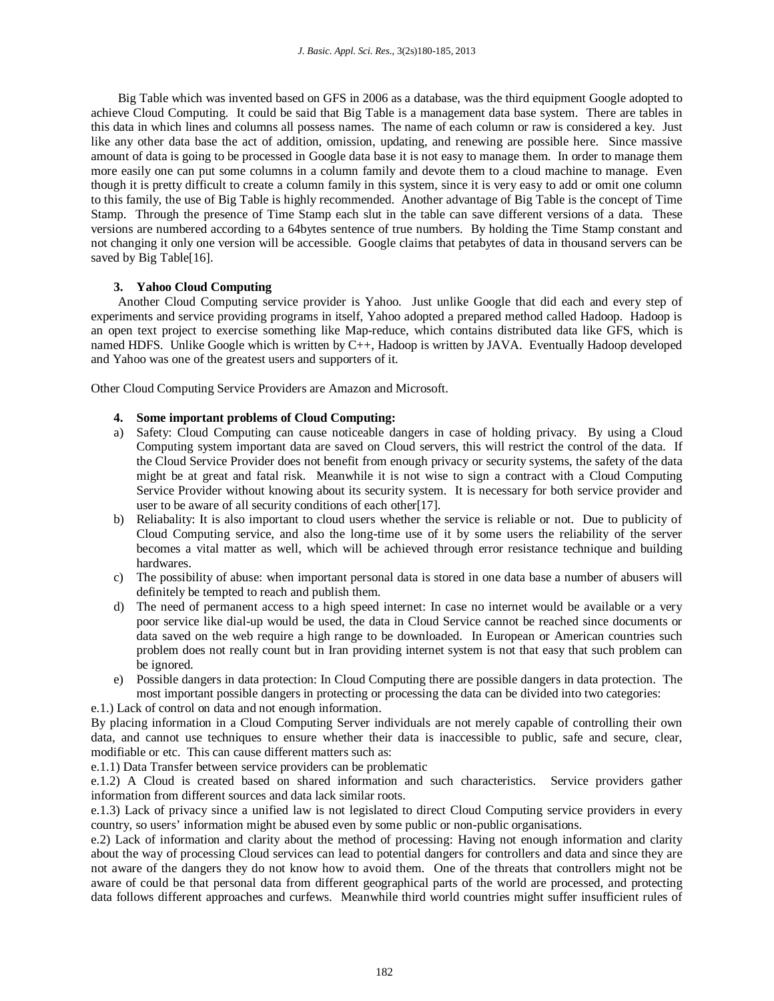Big Table which was invented based on GFS in 2006 as a database, was the third equipment Google adopted to achieve Cloud Computing. It could be said that Big Table is a management data base system. There are tables in this data in which lines and columns all possess names. The name of each column or raw is considered a key. Just like any other data base the act of addition, omission, updating, and renewing are possible here. Since massive amount of data is going to be processed in Google data base it is not easy to manage them. In order to manage them more easily one can put some columns in a column family and devote them to a cloud machine to manage. Even though it is pretty difficult to create a column family in this system, since it is very easy to add or omit one column to this family, the use of Big Table is highly recommended. Another advantage of Big Table is the concept of Time Stamp. Through the presence of Time Stamp each slut in the table can save different versions of a data. These versions are numbered according to a 64bytes sentence of true numbers. By holding the Time Stamp constant and not changing it only one version will be accessible. Google claims that petabytes of data in thousand servers can be saved by Big Table[16].

## **3. Yahoo Cloud Computing**

Another Cloud Computing service provider is Yahoo. Just unlike Google that did each and every step of experiments and service providing programs in itself, Yahoo adopted a prepared method called Hadoop. Hadoop is an open text project to exercise something like Map-reduce, which contains distributed data like GFS, which is named HDFS. Unlike Google which is written by C++, Hadoop is written by JAVA. Eventually Hadoop developed and Yahoo was one of the greatest users and supporters of it.

Other Cloud Computing Service Providers are Amazon and Microsoft.

## **4. Some important problems of Cloud Computing:**

- a) Safety: Cloud Computing can cause noticeable dangers in case of holding privacy. By using a Cloud Computing system important data are saved on Cloud servers, this will restrict the control of the data. If the Cloud Service Provider does not benefit from enough privacy or security systems, the safety of the data might be at great and fatal risk. Meanwhile it is not wise to sign a contract with a Cloud Computing Service Provider without knowing about its security system. It is necessary for both service provider and user to be aware of all security conditions of each other<sup>[17]</sup>.
- b) Reliabality: It is also important to cloud users whether the service is reliable or not. Due to publicity of Cloud Computing service, and also the long-time use of it by some users the reliability of the server becomes a vital matter as well, which will be achieved through error resistance technique and building hardwares.
- c) The possibility of abuse: when important personal data is stored in one data base a number of abusers will definitely be tempted to reach and publish them.
- d) The need of permanent access to a high speed internet: In case no internet would be available or a very poor service like dial-up would be used, the data in Cloud Service cannot be reached since documents or data saved on the web require a high range to be downloaded. In European or American countries such problem does not really count but in Iran providing internet system is not that easy that such problem can be ignored.
- e) Possible dangers in data protection: In Cloud Computing there are possible dangers in data protection. The most important possible dangers in protecting or processing the data can be divided into two categories:

e.1.) Lack of control on data and not enough information.

By placing information in a Cloud Computing Server individuals are not merely capable of controlling their own data, and cannot use techniques to ensure whether their data is inaccessible to public, safe and secure, clear, modifiable or etc. This can cause different matters such as:

e.1.1) Data Transfer between service providers can be problematic

e.1.2) A Cloud is created based on shared information and such characteristics. Service providers gather information from different sources and data lack similar roots.

e.1.3) Lack of privacy since a unified law is not legislated to direct Cloud Computing service providers in every country, so users' information might be abused even by some public or non-public organisations.

e.2) Lack of information and clarity about the method of processing: Having not enough information and clarity about the way of processing Cloud services can lead to potential dangers for controllers and data and since they are not aware of the dangers they do not know how to avoid them. One of the threats that controllers might not be aware of could be that personal data from different geographical parts of the world are processed, and protecting data follows different approaches and curfews. Meanwhile third world countries might suffer insufficient rules of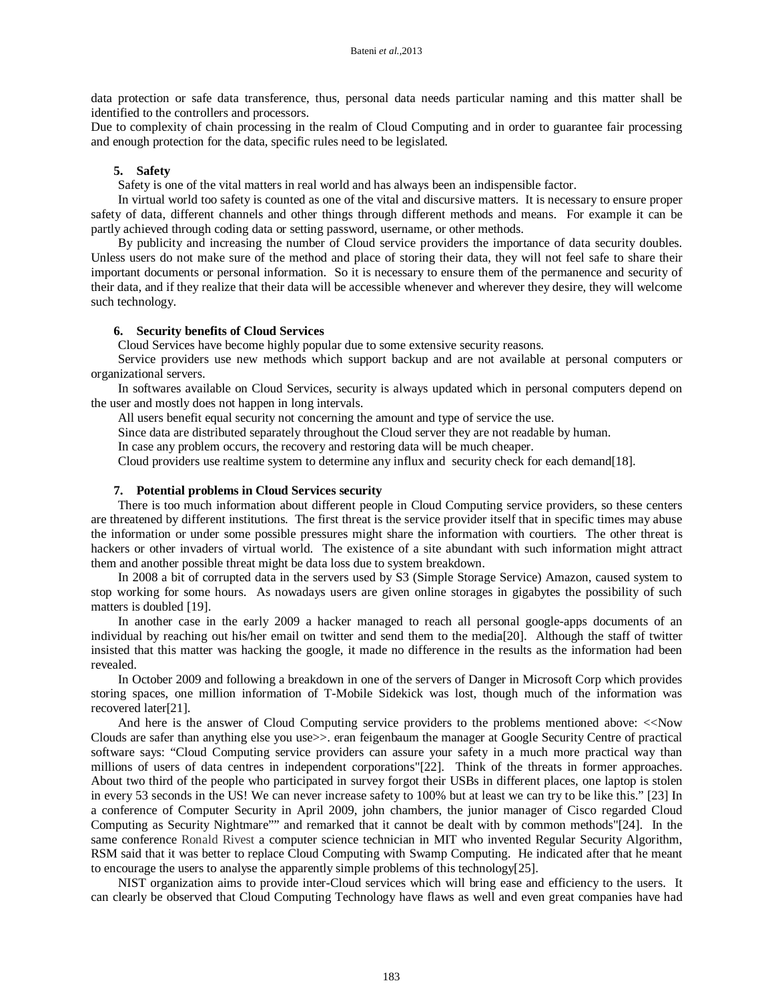data protection or safe data transference, thus, personal data needs particular naming and this matter shall be identified to the controllers and processors.

Due to complexity of chain processing in the realm of Cloud Computing and in order to guarantee fair processing and enough protection for the data, specific rules need to be legislated.

#### **5. Safety**

Safety is one of the vital matters in real world and has always been an indispensible factor.

In virtual world too safety is counted as one of the vital and discursive matters. It is necessary to ensure proper safety of data, different channels and other things through different methods and means. For example it can be partly achieved through coding data or setting password, username, or other methods.

By publicity and increasing the number of Cloud service providers the importance of data security doubles. Unless users do not make sure of the method and place of storing their data, they will not feel safe to share their important documents or personal information. So it is necessary to ensure them of the permanence and security of their data, and if they realize that their data will be accessible whenever and wherever they desire, they will welcome such technology.

#### **6. Security benefits of Cloud Services**

Cloud Services have become highly popular due to some extensive security reasons.

Service providers use new methods which support backup and are not available at personal computers or organizational servers.

In softwares available on Cloud Services, security is always updated which in personal computers depend on the user and mostly does not happen in long intervals.

All users benefit equal security not concerning the amount and type of service the use.

Since data are distributed separately throughout the Cloud server they are not readable by human.

In case any problem occurs, the recovery and restoring data will be much cheaper.

Cloud providers use realtime system to determine any influx and security check for each demand[18].

#### **7. Potential problems in Cloud Services security**

There is too much information about different people in Cloud Computing service providers, so these centers are threatened by different institutions. The first threat is the service provider itself that in specific times may abuse the information or under some possible pressures might share the information with courtiers. The other threat is hackers or other invaders of virtual world. The existence of a site abundant with such information might attract them and another possible threat might be data loss due to system breakdown.

In 2008 a bit of corrupted data in the servers used by S3 (Simple Storage Service) Amazon, caused system to stop working for some hours. As nowadays users are given online storages in gigabytes the possibility of such matters is doubled [19].

In another case in the early 2009 a hacker managed to reach all personal google-apps documents of an individual by reaching out his/her email on twitter and send them to the media[20]. Although the staff of twitter insisted that this matter was hacking the google, it made no difference in the results as the information had been revealed.

In October 2009 and following a breakdown in one of the servers of Danger in Microsoft Corp which provides storing spaces, one million information of T-Mobile Sidekick was lost, though much of the information was recovered later[21].

And here is the answer of Cloud Computing service providers to the problems mentioned above: <<Now Clouds are safer than anything else you use>>. eran feigenbaum the manager at Google Security Centre of practical software says: "Cloud Computing service providers can assure your safety in a much more practical way than millions of users of data centres in independent corporations"[22]. Think of the threats in former approaches. About two third of the people who participated in survey forgot their USBs in different places, one laptop is stolen in every 53 seconds in the US! We can never increase safety to 100% but at least we can try to be like this." [23] In a conference of Computer Security in April 2009, john chambers, the junior manager of Cisco regarded Cloud Computing as Security Nightmare"" and remarked that it cannot be dealt with by common methods"[24]. In the same conference Ronald Rivest a computer science technician in MIT who invented Regular Security Algorithm, RSM said that it was better to replace Cloud Computing with Swamp Computing. He indicated after that he meant to encourage the users to analyse the apparently simple problems of this technology[25].

NIST organization aims to provide inter-Cloud services which will bring ease and efficiency to the users. It can clearly be observed that Cloud Computing Technology have flaws as well and even great companies have had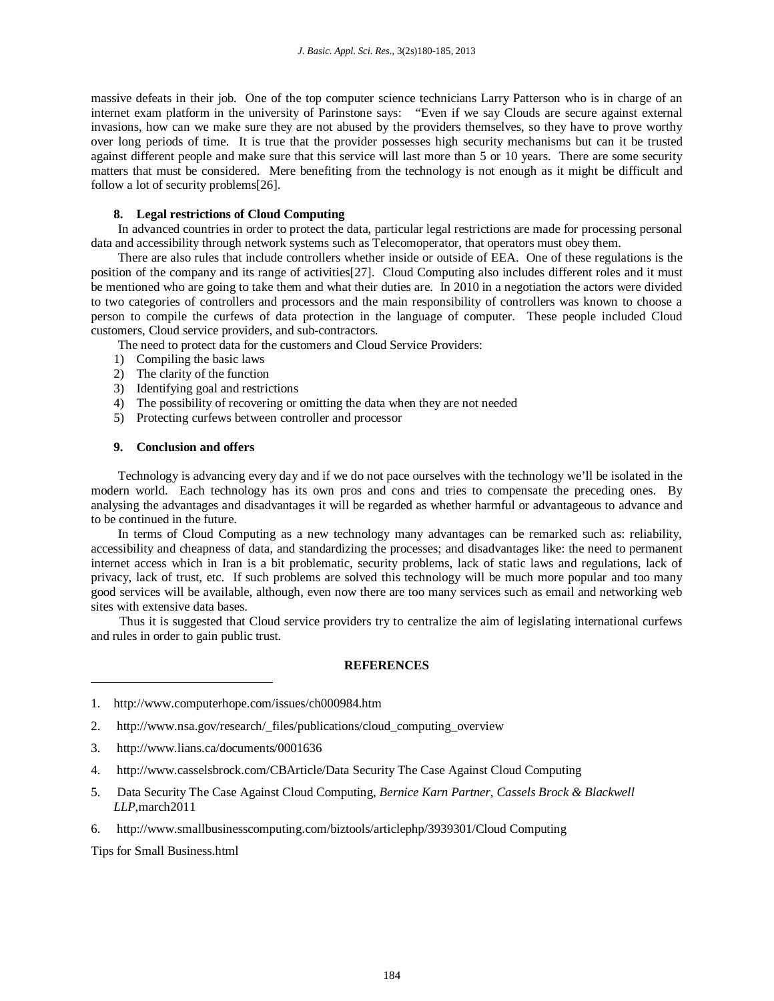massive defeats in their job. One of the top computer science technicians Larry Patterson who is in charge of an internet exam platform in the university of Parinstone says: "Even if we say Clouds are secure against external invasions, how can we make sure they are not abused by the providers themselves, so they have to prove worthy over long periods of time. It is true that the provider possesses high security mechanisms but can it be trusted against different people and make sure that this service will last more than 5 or 10 years. There are some security matters that must be considered. Mere benefiting from the technology is not enough as it might be difficult and follow a lot of security problems[26].

## **8. Legal restrictions of Cloud Computing**

In advanced countries in order to protect the data, particular legal restrictions are made for processing personal data and accessibility through network systems such as Telecomoperator, that operators must obey them.

There are also rules that include controllers whether inside or outside of EEA. One of these regulations is the position of the company and its range of activities[27]. Cloud Computing also includes different roles and it must be mentioned who are going to take them and what their duties are. In 2010 in a negotiation the actors were divided to two categories of controllers and processors and the main responsibility of controllers was known to choose a person to compile the curfews of data protection in the language of computer. These people included Cloud customers, Cloud service providers, and sub-contractors.

The need to protect data for the customers and Cloud Service Providers:

- 1) Compiling the basic laws
- 2) The clarity of the function
- 3) Identifying goal and restrictions
- 4) The possibility of recovering or omitting the data when they are not needed
- 5) Protecting curfews between controller and processor

## **9. Conclusion and offers**

Technology is advancing every day and if we do not pace ourselves with the technology we'll be isolated in the modern world. Each technology has its own pros and cons and tries to compensate the preceding ones. By analysing the advantages and disadvantages it will be regarded as whether harmful or advantageous to advance and to be continued in the future.

In terms of Cloud Computing as a new technology many advantages can be remarked such as: reliability, accessibility and cheapness of data, and standardizing the processes; and disadvantages like: the need to permanent internet access which in Iran is a bit problematic, security problems, lack of static laws and regulations, lack of privacy, lack of trust, etc. If such problems are solved this technology will be much more popular and too many good services will be available, although, even now there are too many services such as email and networking web sites with extensive data bases.

Thus it is suggested that Cloud service providers try to centralize the aim of legislating international curfews and rules in order to gain public trust.

## **REFERENCES**

- 2. http://www.nsa.gov/research/\_files/publications/cloud\_computing\_overview
- 3. http://www.lians.ca/documents/0001636
- 4. http://www.casselsbrock.com/CBArticle/Data Security The Case Against Cloud Computing
- 5. Data Security The Case Against Cloud Computing, *Bernice Karn Partner, Cassels Brock & Blackwell LLP*,march2011
- 6. http://www.smallbusinesscomputing.com/biztools/articlephp/3939301/Cloud Computing

Tips for Small Business.html

 $\overline{\phantom{a}}$ 

<sup>1.</sup> http://www.computerhope.com/issues/ch000984.htm